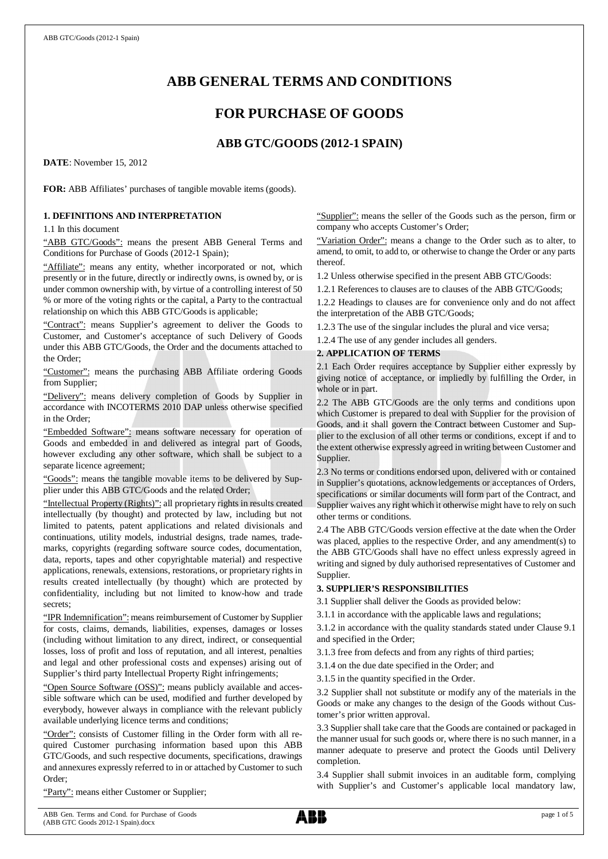# **ABB GENERAL TERMS AND CONDITIONS**

# **FOR PURCHASE OF GOODS**

## **ABB GTC/GOODS (2012-1 SPAIN)**

**DATE**: November 15, 2012

**FOR:** ABB Affiliates' purchases of tangible movable items (goods).

## **1. DEFINITIONS AND INTERPRETATION**

1.1 In this document

"ABB GTC/Goods": means the present ABB General Terms and Conditions for Purchase of Goods (2012-1 Spain);

"Affiliate": means any entity, whether incorporated or not, which presently or in the future, directly or indirectly owns, is owned by, or is under common ownership with, by virtue of a controlling interest of 50 % or more of the voting rights or the capital, a Party to the contractual relationship on which this ABB GTC/Goods is applicable;

"Contract": means Supplier's agreement to deliver the Goods to Customer, and Customer's acceptance of such Delivery of Goods under this ABB GTC/Goods, the Order and the documents attached to the Order;

"Customer": means the purchasing ABB Affiliate ordering Goods from Supplier;

"Delivery": means delivery completion of Goods by Supplier in accordance with INCOTERMS 2010 DAP unless otherwise specified in the Order;

"Embedded Software": means software necessary for operation of Goods and embedded in and delivered as integral part of Goods, however excluding any other software, which shall be subject to a separate licence agreement;

"Goods": means the tangible movable items to be delivered by Supplier under this ABB GTC/Goods and the related Order;

"Intellectual Property (Rights)": all proprietary rights in results created intellectually (by thought) and protected by law, including but not limited to patents, patent applications and related divisionals and continuations, utility models, industrial designs, trade names, trademarks, copyrights (regarding software source codes, documentation, data, reports, tapes and other copyrightable material) and respective applications, renewals, extensions, restorations, or proprietary rights in results created intellectually (by thought) which are protected by confidentiality, including but not limited to know-how and trade secrets;

"IPR Indemnification": means reimbursement of Customer by Supplier for costs, claims, demands, liabilities, expenses, damages or losses (including without limitation to any direct, indirect, or consequential losses, loss of profit and loss of reputation, and all interest, penalties and legal and other professional costs and expenses) arising out of Supplier's third party Intellectual Property Right infringements;

"Open Source Software (OSS)": means publicly available and accessible software which can be used, modified and further developed by everybody, however always in compliance with the relevant publicly available underlying licence terms and conditions;

"Order": consists of Customer filling in the Order form with all required Customer purchasing information based upon this ABB GTC/Goods, and such respective documents, specifications, drawings and annexures expressly referred to in or attached by Customer to such Order;

"Party": means either Customer or Supplier;

"Supplier": means the seller of the Goods such as the person, firm or company who accepts Customer's Order;

"Variation Order": means a change to the Order such as to alter, to amend, to omit, to add to, or otherwise to change the Order or any parts thereof.

1.2 Unless otherwise specified in the present ABB GTC/Goods:

1.2.1 References to clauses are to clauses of the ABB GTC/Goods;

1.2.2 Headings to clauses are for convenience only and do not affect the interpretation of the ABB GTC/Goods;

1.2.3 The use of the singular includes the plural and vice versa;

1.2.4 The use of any gender includes all genders.

## **2. APPLICATION OF TERMS**

2.1 Each Order requires acceptance by Supplier either expressly by giving notice of acceptance, or impliedly by fulfilling the Order, in whole or in part.

2.2 The ABB GTC/Goods are the only terms and conditions upon which Customer is prepared to deal with Supplier for the provision of Goods, and it shall govern the Contract between Customer and Supplier to the exclusion of all other terms or conditions, except if and to the extent otherwise expressly agreed in writing between Customer and Supplier.

2.3 No terms or conditions endorsed upon, delivered with or contained in Supplier's quotations, acknowledgements or acceptances of Orders, specifications or similar documents will form part of the Contract, and Supplier waives any right which it otherwise might have to rely on such other terms or conditions.

2.4 The ABB GTC/Goods version effective at the date when the Order was placed, applies to the respective Order, and any amendment(s) to the ABB GTC/Goods shall have no effect unless expressly agreed in writing and signed by duly authorised representatives of Customer and Supplier.

## **3. SUPPLIER'S RESPONSIBILITIES**

3.1 Supplier shall deliver the Goods as provided below:

3.1.1 in accordance with the applicable laws and regulations;

3.1.2 in accordance with the quality standards stated under Clause 9.1 and specified in the Order;

3.1.3 free from defects and from any rights of third parties;

3.1.4 on the due date specified in the Order; and

3.1.5 in the quantity specified in the Order.

3.2 Supplier shall not substitute or modify any of the materials in the Goods or make any changes to the design of the Goods without Customer's prior written approval.

3.3 Supplier shall take care that the Goods are contained or packaged in the manner usual for such goods or, where there is no such manner, in a manner adequate to preserve and protect the Goods until Delivery completion.

3.4 Supplier shall submit invoices in an auditable form, complying with Supplier's and Customer's applicable local mandatory law,

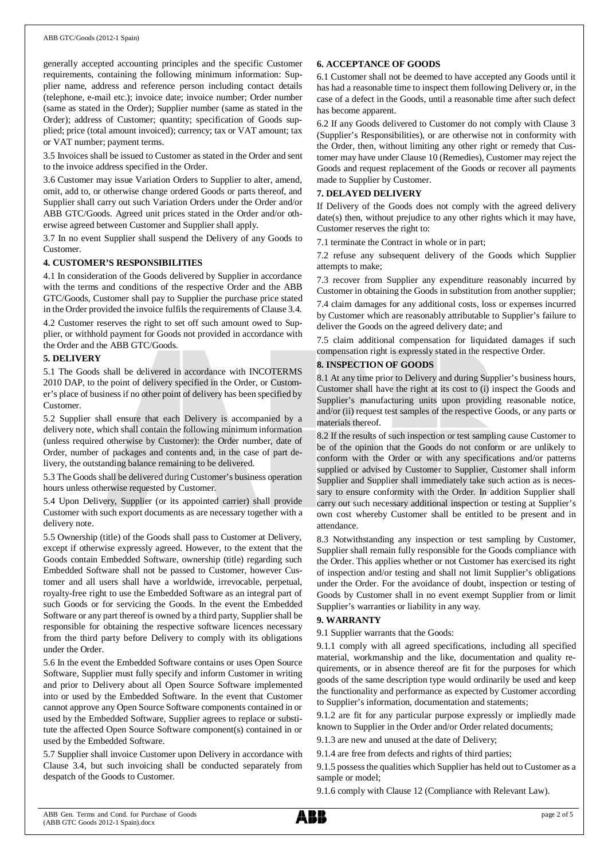#### ABB GTC/Goods (2012-1 Spain)

generally accepted accounting principles and the specific Customer requirements, containing the following minimum information: Supplier name, address and reference person including contact details (telephone, e-mail etc.); invoice date; invoice number; Order number (same as stated in the Order); Supplier number (same as stated in the Order); address of Customer; quantity; specification of Goods supplied; price (total amount invoiced); currency; tax or VAT amount; tax or VAT number; payment terms.

3.5 Invoices shall be issued to Customer as stated in the Order and sent to the invoice address specified in the Order.

3.6 Customer may issue Variation Orders to Supplier to alter, amend, omit, add to, or otherwise change ordered Goods or parts thereof, and Supplier shall carry out such Variation Orders under the Order and/or ABB GTC/Goods. Agreed unit prices stated in the Order and/or otherwise agreed between Customer and Supplier shall apply.

3.7 In no event Supplier shall suspend the Delivery of any Goods to Customer.

## **4. CUSTOMER'S RESPONSIBILITIES**

4.1 In consideration of the Goods delivered by Supplier in accordance with the terms and conditions of the respective Order and the ABB GTC/Goods, Customer shall pay to Supplier the purchase price stated in the Order provided the invoice fulfils the requirements of Clause 3.4.

4.2 Customer reserves the right to set off such amount owed to Supplier, or withhold payment for Goods not provided in accordance with the Order and the ABB GTC/Goods.

## **5. DELIVERY**

5.1 The Goods shall be delivered in accordance with INCOTERMS 2010 DAP, to the point of delivery specified in the Order, or Customer's place of business if no other point of delivery has been specified by Customer.

5.2 Supplier shall ensure that each Delivery is accompanied by a delivery note, which shall contain the following minimum information (unless required otherwise by Customer): the Order number, date of Order, number of packages and contents and, in the case of part delivery, the outstanding balance remaining to be delivered.

5.3 The Goods shall be delivered during Customer's business operation hours unless otherwise requested by Customer.

5.4 Upon Delivery, Supplier (or its appointed carrier) shall provide Customer with such export documents as are necessary together with a delivery note.

5.5 Ownership (title) of the Goods shall pass to Customer at Delivery, except if otherwise expressly agreed. However, to the extent that the Goods contain Embedded Software, ownership (title) regarding such Embedded Software shall not be passed to Customer, however Customer and all users shall have a worldwide, irrevocable, perpetual, royalty-free right to use the Embedded Software as an integral part of such Goods or for servicing the Goods. In the event the Embedded Software or any part thereof is owned by a third party, Supplier shall be responsible for obtaining the respective software licences necessary from the third party before Delivery to comply with its obligations under the Order.

5.6 In the event the Embedded Software contains or uses Open Source Software, Supplier must fully specify and inform Customer in writing and prior to Delivery about all Open Source Software implemented into or used by the Embedded Software. In the event that Customer cannot approve any Open Source Software components contained in or used by the Embedded Software, Supplier agrees to replace or substitute the affected Open Source Software component(s) contained in or used by the Embedded Software.

5.7 Supplier shall invoice Customer upon Delivery in accordance with Clause 3.4, but such invoicing shall be conducted separately from despatch of the Goods to Customer.

## **6. ACCEPTANCE OF GOODS**

6.1 Customer shall not be deemed to have accepted any Goods until it has had a reasonable time to inspect them following Delivery or, in the case of a defect in the Goods, until a reasonable time after such defect has become apparent.

6.2 If any Goods delivered to Customer do not comply with Clause 3 (Supplier's Responsibilities), or are otherwise not in conformity with the Order, then, without limiting any other right or remedy that Customer may have under Clause 10 (Remedies), Customer may reject the Goods and request replacement of the Goods or recover all payments made to Supplier by Customer.

## **7. DELAYED DELIVERY**

If Delivery of the Goods does not comply with the agreed delivery date(s) then, without prejudice to any other rights which it may have, Customer reserves the right to:

7.1 terminate the Contract in whole or in part;

7.2 refuse any subsequent delivery of the Goods which Supplier attempts to make;

7.3 recover from Supplier any expenditure reasonably incurred by Customer in obtaining the Goods in substitution from another supplier;

7.4 claim damages for any additional costs, loss or expenses incurred by Customer which are reasonably attributable to Supplier's failure to deliver the Goods on the agreed delivery date; and

7.5 claim additional compensation for liquidated damages if such compensation right is expressly stated in the respective Order.

## **8. INSPECTION OF GOODS**

8.1 At any time prior to Delivery and during Supplier's business hours, Customer shall have the right at its cost to (i) inspect the Goods and Supplier's manufacturing units upon providing reasonable notice, and/or (ii) request test samples of the respective Goods, or any parts or materials thereof.

8.2 If the results of such inspection or test sampling cause Customer to be of the opinion that the Goods do not conform or are unlikely to conform with the Order or with any specifications and/or patterns supplied or advised by Customer to Supplier, Customer shall inform Supplier and Supplier shall immediately take such action as is necessary to ensure conformity with the Order. In addition Supplier shall carry out such necessary additional inspection or testing at Supplier's own cost whereby Customer shall be entitled to be present and in attendance.

8.3 Notwithstanding any inspection or test sampling by Customer, Supplier shall remain fully responsible for the Goods compliance with the Order. This applies whether or not Customer has exercised its right of inspection and/or testing and shall not limit Supplier's obligations under the Order. For the avoidance of doubt, inspection or testing of Goods by Customer shall in no event exempt Supplier from or limit Supplier's warranties or liability in any way.

## **9. WARRANTY**

9.1 Supplier warrants that the Goods:

9.1.1 comply with all agreed specifications, including all specified material, workmanship and the like, documentation and quality requirements, or in absence thereof are fit for the purposes for which goods of the same description type would ordinarily be used and keep the functionality and performance as expected by Customer according to Supplier's information, documentation and statements;

9.1.2 are fit for any particular purpose expressly or impliedly made known to Supplier in the Order and/or Order related documents;

9.1.3 are new and unused at the date of Delivery;

9.1.4 are free from defects and rights of third parties;

9.1.5 possess the qualities which Supplier has held out to Customer as a sample or model;

9.1.6 comply with Clause 12 (Compliance with Relevant Law).

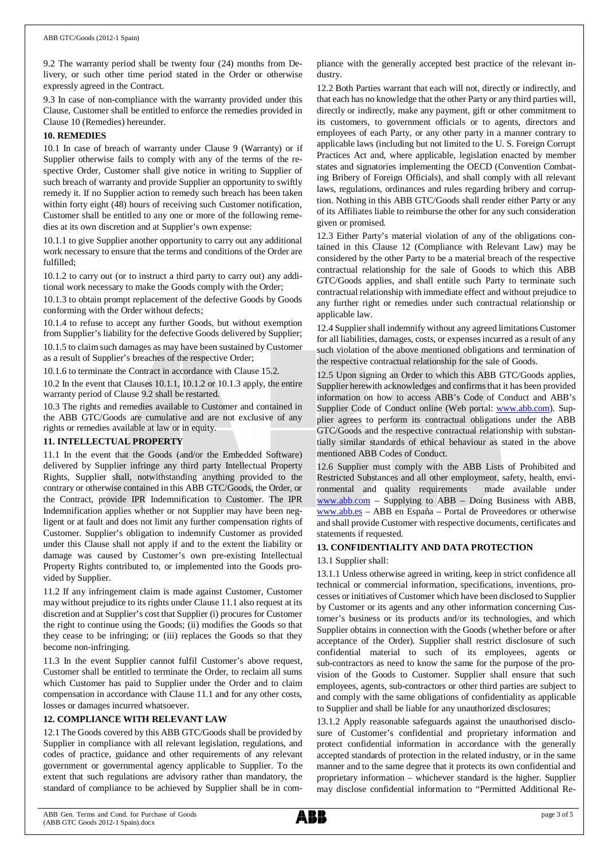#### ABB GTC/Goods (2012-1 Spain)

9.2 The warranty period shall be twenty four (24) months from Delivery, or such other time period stated in the Order or otherwise expressly agreed in the Contract.

9.3 In case of non-compliance with the warranty provided under this Clause, Customer shall be entitled to enforce the remedies provided in Clause 10 (Remedies) hereunder.

## **10. REMEDIES**

10.1 In case of breach of warranty under Clause 9 (Warranty) or if Supplier otherwise fails to comply with any of the terms of the respective Order, Customer shall give notice in writing to Supplier of such breach of warranty and provide Supplier an opportunity to swiftly remedy it. If no Supplier action to remedy such breach has been taken within forty eight (48) hours of receiving such Customer notification, Customer shall be entitled to any one or more of the following remedies at its own discretion and at Supplier's own expense:

10.1.1 to give Supplier another opportunity to carry out any additional work necessary to ensure that the terms and conditions of the Order are fulfilled;

10.1.2 to carry out (or to instruct a third party to carry out) any additional work necessary to make the Goods comply with the Order;

10.1.3 to obtain prompt replacement of the defective Goods by Goods conforming with the Order without defects;

10.1.4 to refuse to accept any further Goods, but without exemption from Supplier's liability for the defective Goods delivered by Supplier;

10.1.5 to claim such damages as may have been sustained by Customer as a result of Supplier's breaches of the respective Order;

10.1.6 to terminate the Contract in accordance with Clause 15.2.

10.2 In the event that Clauses 10.1.1, 10.1.2 or 10.1.3 apply, the entire warranty period of Clause 9.2 shall be restarted.

10.3 The rights and remedies available to Customer and contained in the ABB GTC/Goods are cumulative and are not exclusive of any rights or remedies available at law or in equity.

## **11. INTELLECTUAL PROPERTY**

11.1 In the event that the Goods (and/or the Embedded Software) delivered by Supplier infringe any third party Intellectual Property Rights, Supplier shall, notwithstanding anything provided to the contrary or otherwise contained in this ABB GTC/Goods, the Order, or the Contract, provide IPR Indemnification to Customer. The IPR Indemnification applies whether or not Supplier may have been negligent or at fault and does not limit any further compensation rights of Customer. Supplier's obligation to indemnify Customer as provided under this Clause shall not apply if and to the extent the liability or damage was caused by Customer's own pre-existing Intellectual Property Rights contributed to, or implemented into the Goods provided by Supplier.

11.2 If any infringement claim is made against Customer, Customer may without prejudice to its rights under Clause 11.1 also request at its discretion and at Supplier's cost that Supplier (i) procures for Customer the right to continue using the Goods; (ii) modifies the Goods so that they cease to be infringing; or (iii) replaces the Goods so that they become non-infringing.

11.3 In the event Supplier cannot fulfil Customer's above request, Customer shall be entitled to terminate the Order, to reclaim all sums which Customer has paid to Supplier under the Order and to claim compensation in accordance with Clause 11.1 and for any other costs, losses or damages incurred whatsoever.

## **12. COMPLIANCE WITH RELEVANT LAW**

12.1 The Goods covered by this ABB GTC/Goods shall be provided by Supplier in compliance with all relevant legislation, regulations, and codes of practice, guidance and other requirements of any relevant government or governmental agency applicable to Supplier. To the extent that such regulations are advisory rather than mandatory, the standard of compliance to be achieved by Supplier shall be in compliance with the generally accepted best practice of the relevant industry.

12.2 Both Parties warrant that each will not, directly or indirectly, and that each has no knowledge that the other Party or any third parties will, directly or indirectly, make any payment, gift or other commitment to its customers, to government officials or to agents, directors and employees of each Party, or any other party in a manner contrary to applicable laws (including but not limited to the U. S. Foreign Corrupt Practices Act and, where applicable, legislation enacted by member states and signatories implementing the OECD (Convention Combating Bribery of Foreign Officials), and shall comply with all relevant laws, regulations, ordinances and rules regarding bribery and corruption. Nothing in this ABB GTC/Goods shall render either Party or any of its Affiliates liable to reimburse the other for any such consideration given or promised.

12.3 Either Party's material violation of any of the obligations contained in this Clause 12 (Compliance with Relevant Law) may be considered by the other Party to be a material breach of the respective contractual relationship for the sale of Goods to which this ABB GTC/Goods applies, and shall entitle such Party to terminate such contractual relationship with immediate effect and without prejudice to any further right or remedies under such contractual relationship or applicable law.

12.4 Supplier shall indemnify without any agreed limitations Customer for all liabilities, damages, costs, or expenses incurred as a result of any such violation of the above mentioned obligations and termination of the respective contractual relationship for the sale of Goods.

12.5 Upon signing an Order to which this ABB GTC/Goods applies, Supplier herewith acknowledges and confirms that it has been provided information on how to access ABB's Code of Conduct and ABB's Supplier Code of Conduct online (Web portal: [www.abb.com](http://www.abb.com/)). Supplier agrees to perform its contractual obligations under the ABB GTC/Goods and the respective contractual relationship with substantially similar standards of ethical behaviour as stated in the above mentioned ABB Codes of Conduct.

12.6 Supplier must comply with the ABB Lists of Prohibited and Restricted Substances and all other employment, safety, health, environmental and quality requirements made available under [www.abb.com](http://www.abb.com/) – Supplying to ABB – Doing Business with ABB, [www.abb.es](http://www.abb.es/) – ABB en España – Portal de Proveedores or otherwise and shall provide Customer with respective documents, certificates and statements if requested.

## **13. CONFIDENTIALITY AND DATA PROTECTION**

## 13.1 Supplier shall:

13.1.1 Unless otherwise agreed in writing, keep in strict confidence all technical or commercial information, specifications, inventions, processes or initiatives of Customer which have been disclosed to Supplier by Customer or its agents and any other information concerning Customer's business or its products and/or its technologies, and which Supplier obtains in connection with the Goods (whether before or after acceptance of the Order). Supplier shall restrict disclosure of such confidential material to such of its employees, agents or sub-contractors as need to know the same for the purpose of the provision of the Goods to Customer. Supplier shall ensure that such employees, agents, sub-contractors or other third parties are subject to and comply with the same obligations of confidentiality as applicable to Supplier and shall be liable for any unauthorized disclosures;

13.1.2 Apply reasonable safeguards against the unauthorised disclosure of Customer's confidential and proprietary information and protect confidential information in accordance with the generally accepted standards of protection in the related industry, or in the same manner and to the same degree that it protects its own confidential and proprietary information – whichever standard is the higher. Supplier may disclose confidential information to "Permitted Additional Re-

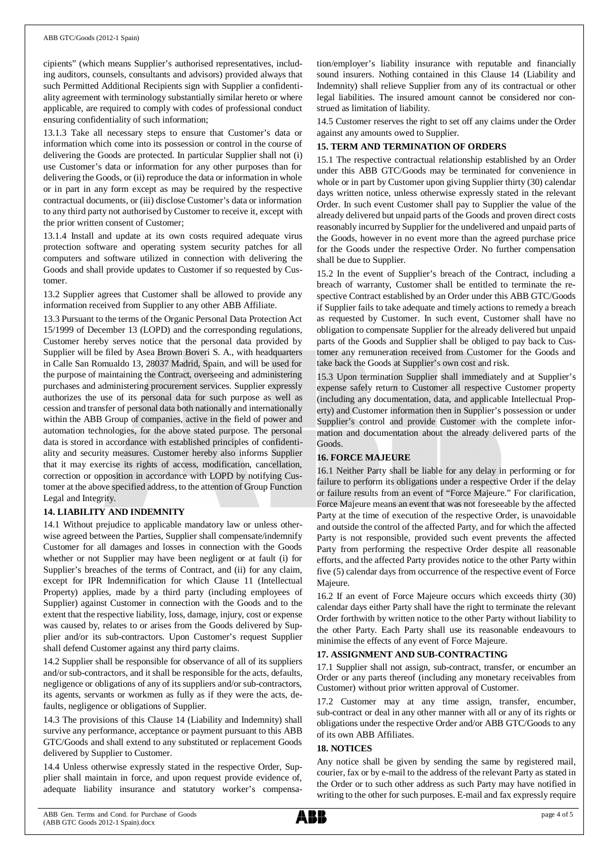#### ABB GTC/Goods (2012-1 Spain)

cipients" (which means Supplier's authorised representatives, including auditors, counsels, consultants and advisors) provided always that such Permitted Additional Recipients sign with Supplier a confidentiality agreement with terminology substantially similar hereto or where applicable, are required to comply with codes of professional conduct ensuring confidentiality of such information;

13.1.3 Take all necessary steps to ensure that Customer's data or information which come into its possession or control in the course of delivering the Goods are protected. In particular Supplier shall not (i) use Customer's data or information for any other purposes than for delivering the Goods, or (ii) reproduce the data or information in whole or in part in any form except as may be required by the respective contractual documents, or (iii) disclose Customer's data or information to any third party not authorised by Customer to receive it, except with the prior written consent of Customer;

13.1.4 Install and update at its own costs required adequate virus protection software and operating system security patches for all computers and software utilized in connection with delivering the Goods and shall provide updates to Customer if so requested by Customer.

13.2 Supplier agrees that Customer shall be allowed to provide any information received from Supplier to any other ABB Affiliate.

13.3 Pursuant to the terms of the Organic Personal Data Protection Act 15/1999 of December 13 (LOPD) and the corresponding regulations, Customer hereby serves notice that the personal data provided by Supplier will be filed by Asea Brown Boveri S. A., with headquarters in Calle San Romualdo 13, 28037 Madrid, Spain, and will be used for the purpose of maintaining the Contract, overseeing and administering purchases and administering procurement services. Supplier expressly authorizes the use of its personal data for such purpose as well as cession and transfer of personal data both nationally and internationally within the ABB Group of companies, active in the field of power and automation technologies, for the above stated purpose. The personal data is stored in accordance with established principles of confidentiality and security measures. Customer hereby also informs Supplier that it may exercise its rights of access, modification, cancellation, correction or opposition in accordance with LOPD by notifying Customer at the above specified address, to the attention of Group Function Legal and Integrity.

## **14. LIABILITY AND INDEMNITY**

14.1 Without prejudice to applicable mandatory law or unless otherwise agreed between the Parties, Supplier shall compensate/indemnify Customer for all damages and losses in connection with the Goods whether or not Supplier may have been negligent or at fault (i) for Supplier's breaches of the terms of Contract, and (ii) for any claim, except for IPR Indemnification for which Clause 11 (Intellectual Property) applies, made by a third party (including employees of Supplier) against Customer in connection with the Goods and to the extent that the respective liability, loss, damage, injury, cost or expense was caused by, relates to or arises from the Goods delivered by Supplier and/or its sub-contractors. Upon Customer's request Supplier shall defend Customer against any third party claims.

14.2 Supplier shall be responsible for observance of all of its suppliers and/or sub-contractors, and it shall be responsible for the acts, defaults, negligence or obligations of any of its suppliers and/or sub-contractors, its agents, servants or workmen as fully as if they were the acts, defaults, negligence or obligations of Supplier.

14.3 The provisions of this Clause 14 (Liability and Indemnity) shall survive any performance, acceptance or payment pursuant to this ABB GTC/Goods and shall extend to any substituted or replacement Goods delivered by Supplier to Customer.

14.4 Unless otherwise expressly stated in the respective Order, Supplier shall maintain in force, and upon request provide evidence of, adequate liability insurance and statutory worker's compensation/employer's liability insurance with reputable and financially sound insurers. Nothing contained in this Clause 14 (Liability and Indemnity) shall relieve Supplier from any of its contractual or other legal liabilities. The insured amount cannot be considered nor construed as limitation of liability.

14.5 Customer reserves the right to set off any claims under the Order against any amounts owed to Supplier.

## **15. TERM AND TERMINATION OF ORDERS**

15.1 The respective contractual relationship established by an Order under this ABB GTC/Goods may be terminated for convenience in whole or in part by Customer upon giving Supplier thirty (30) calendar days written notice, unless otherwise expressly stated in the relevant Order. In such event Customer shall pay to Supplier the value of the already delivered but unpaid parts of the Goods and proven direct costs reasonably incurred by Supplier for the undelivered and unpaid parts of the Goods, however in no event more than the agreed purchase price for the Goods under the respective Order. No further compensation shall be due to Supplier.

15.2 In the event of Supplier's breach of the Contract, including a breach of warranty, Customer shall be entitled to terminate the respective Contract established by an Order under this ABB GTC/Goods if Supplier fails to take adequate and timely actions to remedy a breach as requested by Customer. In such event, Customer shall have no obligation to compensate Supplier for the already delivered but unpaid parts of the Goods and Supplier shall be obliged to pay back to Customer any remuneration received from Customer for the Goods and take back the Goods at Supplier's own cost and risk.

15.3 Upon termination Supplier shall immediately and at Supplier's expense safely return to Customer all respective Customer property (including any documentation, data, and applicable Intellectual Property) and Customer information then in Supplier's possession or under Supplier's control and provide Customer with the complete information and documentation about the already delivered parts of the Goods.

## **16. FORCE MAJEURE**

16.1 Neither Party shall be liable for any delay in performing or for failure to perform its obligations under a respective Order if the delay or failure results from an event of "Force Majeure." For clarification, Force Majeure means an event that was not foreseeable by the affected Party at the time of execution of the respective Order, is unavoidable and outside the control of the affected Party, and for which the affected Party is not responsible, provided such event prevents the affected Party from performing the respective Order despite all reasonable efforts, and the affected Party provides notice to the other Party within five (5) calendar days from occurrence of the respective event of Force Majeure.

16.2 If an event of Force Majeure occurs which exceeds thirty (30) calendar days either Party shall have the right to terminate the relevant Order forthwith by written notice to the other Party without liability to the other Party. Each Party shall use its reasonable endeavours to minimise the effects of any event of Force Majeure.

## **17. ASSIGNMENT AND SUB-CONTRACTING**

17.1 Supplier shall not assign, sub-contract, transfer, or encumber an Order or any parts thereof (including any monetary receivables from Customer) without prior written approval of Customer.

17.2 Customer may at any time assign, transfer, encumber, sub-contract or deal in any other manner with all or any of its rights or obligations under the respective Order and/or ABB GTC/Goods to any of its own ABB Affiliates.

## **18. NOTICES**

Any notice shall be given by sending the same by registered mail, courier, fax or by e-mail to the address of the relevant Party as stated in the Order or to such other address as such Party may have notified in writing to the other for such purposes. E-mail and fax expressly require